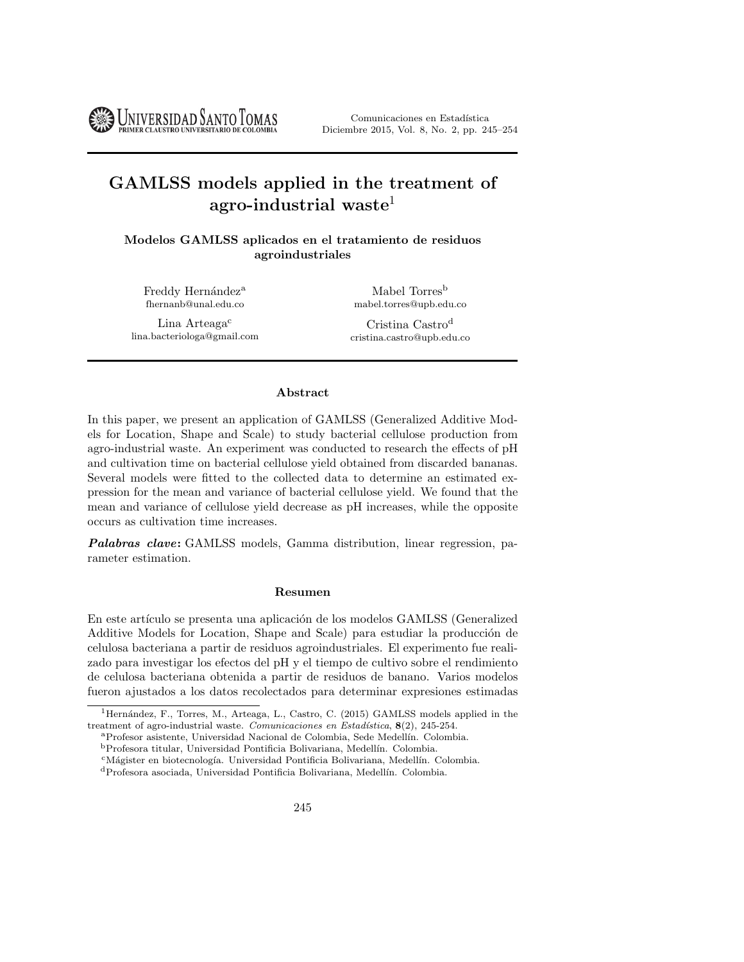Comunicaciones en Estadística Diciembre 2015, Vol. 8, No. 2, pp. 245–254

# GAMLSS models applied in the treatment of agro-industrial waste<sup>1</sup>

Modelos GAMLSS aplicados en el tratamiento de residuos agroindustriales

Freddy Hernández<sup>a</sup> fhernanb@unal.edu.co

**UNIVERSIDAD SANTO TOMAS** 

Lina Arteaga<sup>c</sup> lina.bacteriologa@gmail.com

Mabel Torres<sup>b</sup> mabel.torres@upb.edu.co

Cristina Castro<sup>d</sup> cristina.castro@upb.edu.co

### Abstract

In this paper, we present an application of GAMLSS (Generalized Additive Models for Location, Shape and Scale) to study bacterial cellulose production from agro-industrial waste. An experiment was conducted to research the effects of pH and cultivation time on bacterial cellulose yield obtained from discarded bananas. Several models were fitted to the collected data to determine an estimated expression for the mean and variance of bacterial cellulose yield. We found that the mean and variance of cellulose yield decrease as pH increases, while the opposite occurs as cultivation time increases.

Palabras clave: GAMLSS models, Gamma distribution, linear regression, parameter estimation.

#### Resumen

En este artículo se presenta una aplicación de los modelos GAMLSS (Generalized Additive Models for Location, Shape and Scale) para estudiar la producción de celulosa bacteriana a partir de residuos agroindustriales. El experimento fue realizado para investigar los efectos del pH y el tiempo de cultivo sobre el rendimiento de celulosa bacteriana obtenida a partir de residuos de banano. Varios modelos fueron ajustados a los datos recolectados para determinar expresiones estimadas

<sup>&</sup>lt;sup>1</sup>Hernández, F., Torres, M., Arteaga, L., Castro, C. (2015) GAMLSS models applied in the treatment of agro-industrial waste. Comunicaciones en Estadística,  $8(2)$ , 245-254.

<sup>a</sup>Profesor asistente, Universidad Nacional de Colombia, Sede Medell´ın. Colombia.

 $\rm ^bProfesora$ titular, Universidad Pontificia Bolivariana, Medellín. Colombia.

<sup>&</sup>lt;sup>c</sup>Mágister en biotecnología. Universidad Pontificia Bolivariana, Medellín. Colombia.

<sup>d</sup>Profesora asociada, Universidad Pontificia Bolivariana, Medell´ın. Colombia.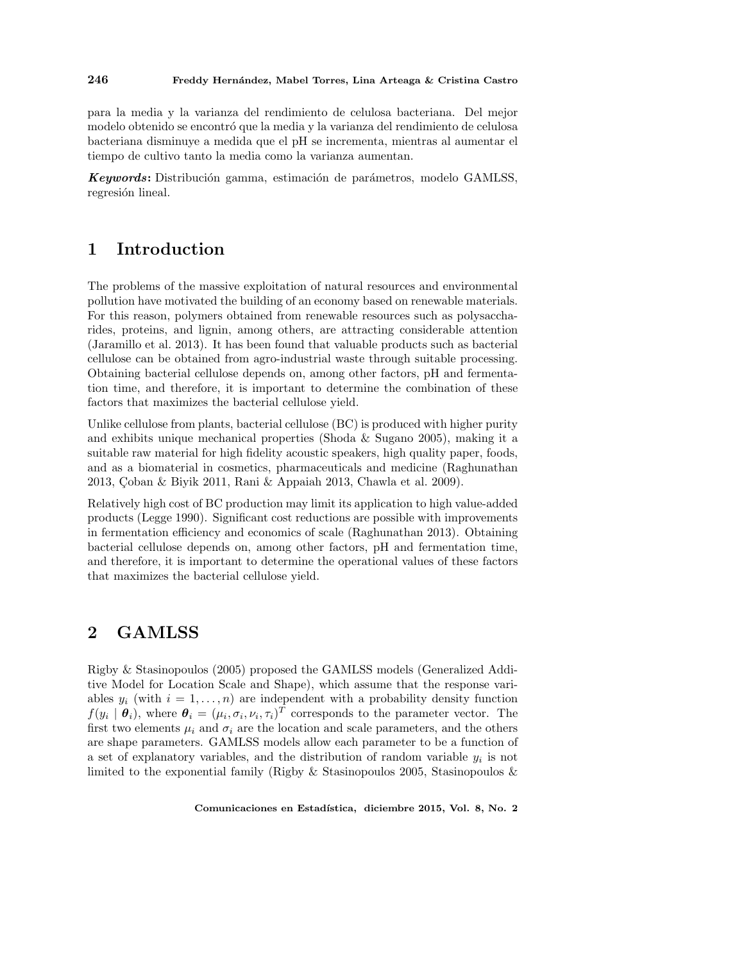#### 246 Freddy Hernández, Mabel Torres, Lina Arteaga & Cristina Castro

para la media y la varianza del rendimiento de celulosa bacteriana. Del mejor modelo obtenido se encontró que la media y la varianza del rendimiento de celulosa bacteriana disminuye a medida que el pH se incrementa, mientras al aumentar el tiempo de cultivo tanto la media como la varianza aumentan.

Keywords: Distribución gamma, estimación de parámetros, modelo GAMLSS, regresión lineal.

### 1 Introduction

The problems of the massive exploitation of natural resources and environmental pollution have motivated the building of an economy based on renewable materials. For this reason, polymers obtained from renewable resources such as polysaccharides, proteins, and lignin, among others, are attracting considerable attention (Jaramillo et al. 2013). It has been found that valuable products such as bacterial cellulose can be obtained from agro-industrial waste through suitable processing. Obtaining bacterial cellulose depends on, among other factors, pH and fermentation time, and therefore, it is important to determine the combination of these factors that maximizes the bacterial cellulose yield.

Unlike cellulose from plants, bacterial cellulose (BC) is produced with higher purity and exhibits unique mechanical properties (Shoda & Sugano 2005), making it a suitable raw material for high fidelity acoustic speakers, high quality paper, foods, and as a biomaterial in cosmetics, pharmaceuticals and medicine (Raghunathan 2013, Coban & Biyik 2011, Rani & Appaiah 2013, Chawla et al. 2009).

Relatively high cost of BC production may limit its application to high value-added products (Legge 1990). Significant cost reductions are possible with improvements in fermentation efficiency and economics of scale (Raghunathan 2013). Obtaining bacterial cellulose depends on, among other factors, pH and fermentation time, and therefore, it is important to determine the operational values of these factors that maximizes the bacterial cellulose yield.

### 2 GAMLSS

Rigby & Stasinopoulos (2005) proposed the GAMLSS models (Generalized Additive Model for Location Scale and Shape), which assume that the response variables  $y_i$  (with  $i = 1, \ldots, n$ ) are independent with a probability density function  $f(y_i | \theta_i)$ , where  $\theta_i = (\mu_i, \sigma_i, \nu_i, \tau_i)^T$  corresponds to the parameter vector. The first two elements  $\mu_i$  and  $\sigma_i$  are the location and scale parameters, and the others are shape parameters. GAMLSS models allow each parameter to be a function of a set of explanatory variables, and the distribution of random variable  $y_i$  is not limited to the exponential family (Rigby & Stasinopoulos 2005, Stasinopoulos &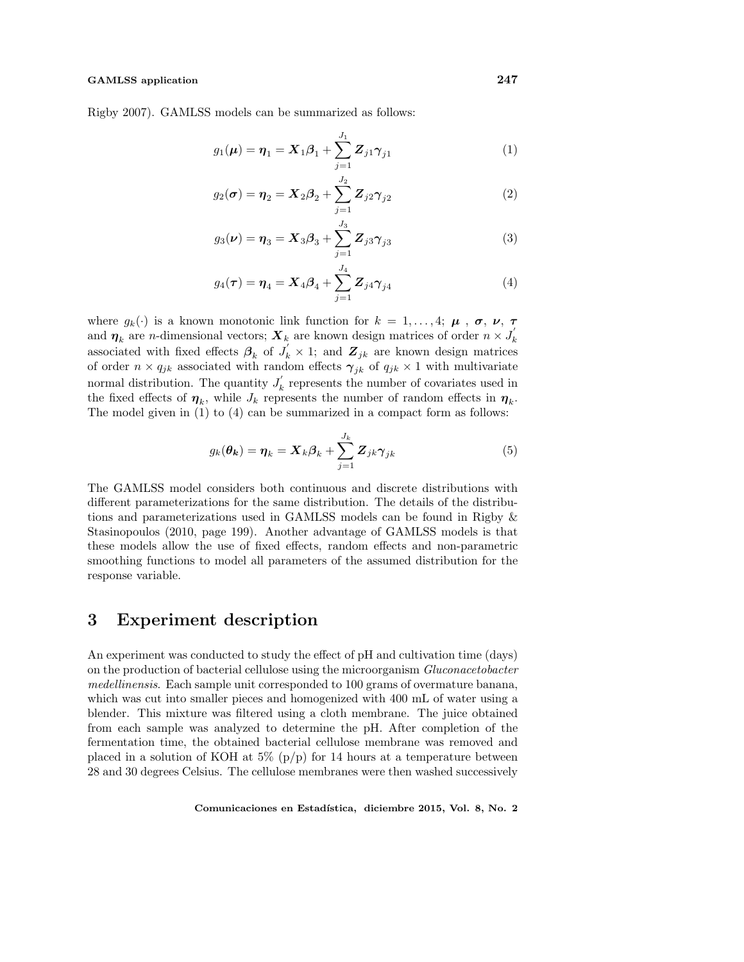#### GAMLSS application 247

Rigby 2007). GAMLSS models can be summarized as follows:

$$
g_1(\mu) = \eta_1 = X_1 \beta_1 + \sum_{j=1}^{J_1} Z_{j1} \gamma_{j1}
$$
 (1)

$$
g_2(\sigma) = \eta_2 = X_2 \beta_2 + \sum_{j=1}^{J_2} Z_{j2} \gamma_{j2}
$$
 (2)

$$
g_3(\nu) = \eta_3 = X_3 \beta_3 + \sum_{j=1}^{J_3} Z_{j3} \gamma_{j3}
$$
 (3)

$$
g_4(\tau) = \eta_4 = X_4 \beta_4 + \sum_{j=1}^{J_4} Z_{j4} \gamma_{j4}
$$
 (4)

where  $g_k(\cdot)$  is a known monotonic link function for  $k = 1, \ldots, 4; \mu, \sigma, \nu, \tau$ and  $\eta_k$  are n-dimensional vectors;  $\boldsymbol{X}_k$  are known design matrices of order  $n \times J'_k$ associated with fixed effects  $\beta_k$  of  $J'_k \times 1$ ; and  $\mathbf{Z}_{jk}$  are known design matrices of order  $n \times q_{jk}$  associated with random effects  $\gamma_{jk}$  of  $q_{jk} \times 1$  with multivariate normal distribution. The quantity  $J'_k$  represents the number of covariates used in the fixed effects of  $\eta_k$ , while  $J_k$  represents the number of random effects in  $\eta_k$ . The model given in (1) to (4) can be summarized in a compact form as follows:

$$
g_k(\theta_k) = \eta_k = \mathbf{X}_k \boldsymbol{\beta}_k + \sum_{j=1}^{J_k} \mathbf{Z}_{jk} \boldsymbol{\gamma}_{jk}
$$
(5)

The GAMLSS model considers both continuous and discrete distributions with different parameterizations for the same distribution. The details of the distributions and parameterizations used in GAMLSS models can be found in Rigby & Stasinopoulos (2010, page 199). Another advantage of GAMLSS models is that these models allow the use of fixed effects, random effects and non-parametric smoothing functions to model all parameters of the assumed distribution for the response variable.

### 3 Experiment description

An experiment was conducted to study the effect of pH and cultivation time (days) on the production of bacterial cellulose using the microorganism Gluconacetobacter medellinensis. Each sample unit corresponded to 100 grams of overmature banana, which was cut into smaller pieces and homogenized with 400 mL of water using a blender. This mixture was filtered using a cloth membrane. The juice obtained from each sample was analyzed to determine the pH. After completion of the fermentation time, the obtained bacterial cellulose membrane was removed and placed in a solution of KOH at  $5\%$  (p/p) for 14 hours at a temperature between 28 and 30 degrees Celsius. The cellulose membranes were then washed successively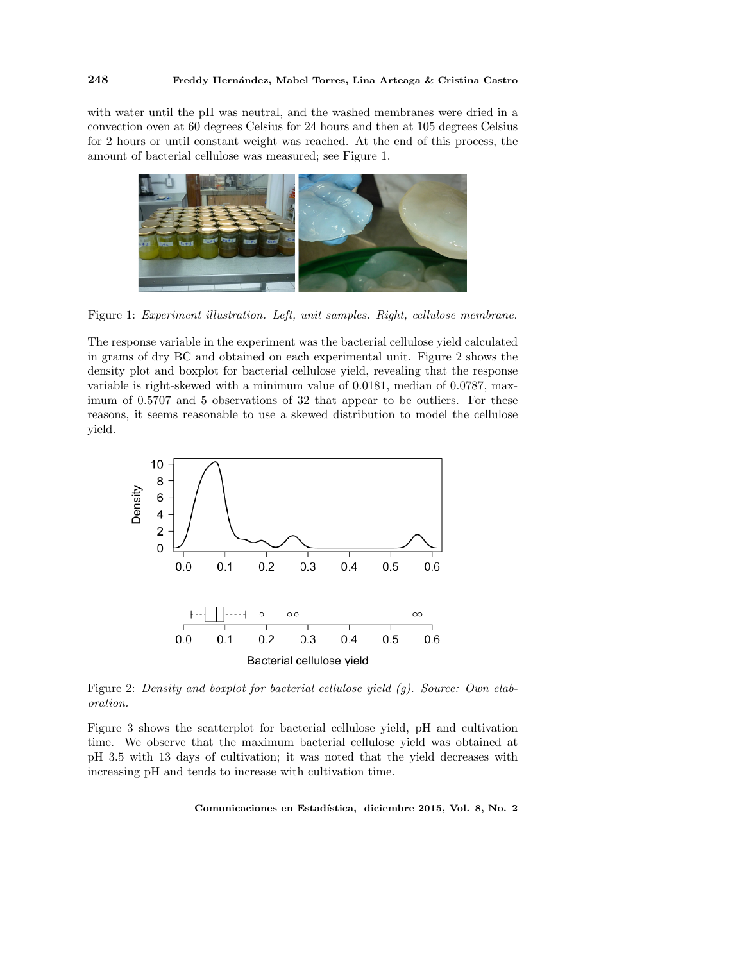with water until the pH was neutral, and the washed membranes were dried in a convection oven at 60 degrees Celsius for 24 hours and then at 105 degrees Celsius for 2 hours or until constant weight was reached. At the end of this process, the amount of bacterial cellulose was measured; see Figure 1.



Figure 1: Experiment illustration. Left, unit samples. Right, cellulose membrane.

The response variable in the experiment was the bacterial cellulose yield calculated in grams of dry BC and obtained on each experimental unit. Figure 2 shows the density plot and boxplot for bacterial cellulose yield, revealing that the response variable is right-skewed with a minimum value of 0.0181, median of 0.0787, maximum of 0.5707 and 5 observations of 32 that appear to be outliers. For these reasons, it seems reasonable to use a skewed distribution to model the cellulose yield.



Figure 2: Density and boxplot for bacterial cellulose yield (g). Source: Own elaboration.

Figure 3 shows the scatterplot for bacterial cellulose yield, pH and cultivation time. We observe that the maximum bacterial cellulose yield was obtained at pH 3.5 with 13 days of cultivation; it was noted that the yield decreases with increasing pH and tends to increase with cultivation time.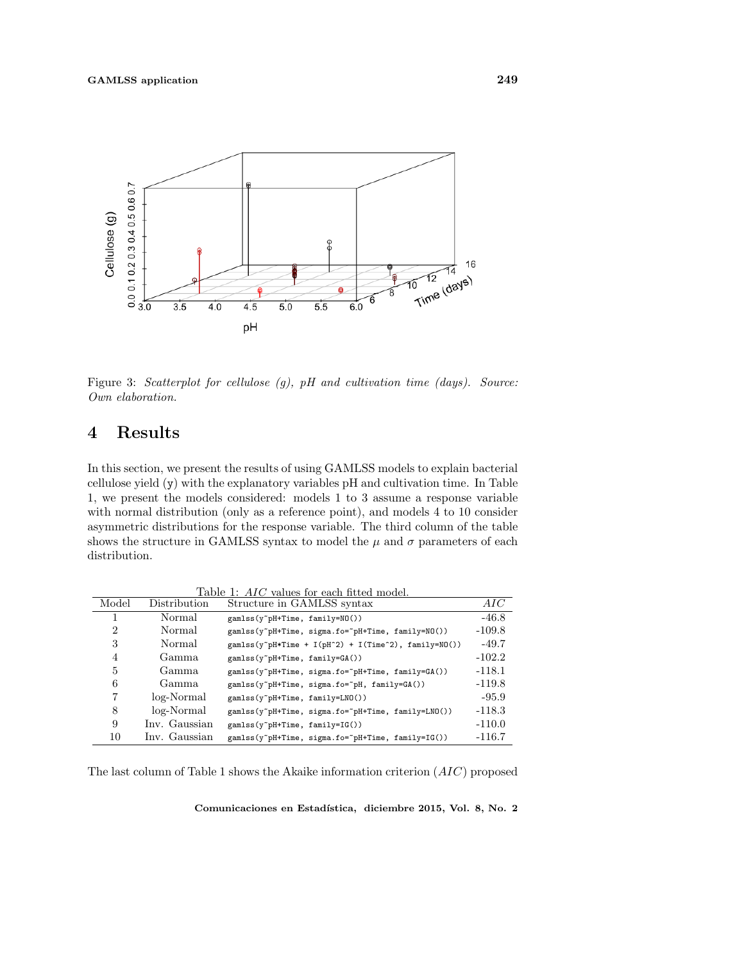

Figure 3: Scatterplot for cellulose (g), pH and cultivation time (days). Source: Own elaboration.

## 4 Results

In this section, we present the results of using GAMLSS models to explain bacterial cellulose yield (y) with the explanatory variables pH and cultivation time. In Table 1, we present the models considered: models 1 to 3 assume a response variable with normal distribution (only as a reference point), and models 4 to 10 consider asymmetric distributions for the response variable. The third column of the table shows the structure in GAMLSS syntax to model the  $\mu$  and  $\sigma$  parameters of each distribution.

Table 1: AIC values for each fitted model<br>Distribution Structure in GAMLSS syntax Model Distribution Structure in GAMLSS syntax AIC 1 Normal gamlss(y~pH+Time, family=NO()) -46.8 2 Normal gamlss(y~pH+Time, sigma.fo=~pH+Time, family=NO()) -109.8 3 Normal gamlss(y~pH\*Time + I(pH^2) + I(Time^2), family=NO()) -49.7 4 Gamma gamlss(y~pH+Time, family=GA())  $-102.2$ 5 Gamma gamlss(y~pH+Time, sigma.fo=~pH+Time, family=GA()) -118.1 6 Gamma gamlss(y~pH+Time, sigma.fo=~pH, family=GA()) -119.8 7 log-Normal gamlss(y~pH+Time, family=LNO()) -95.9 8 log-Normal gamlss(y~pH+Time, sigma.fo=~pH+Time, family=LNO()) -118.3 9 Inv. Gaussian gamlss(y~pH+Time, family=IG()) -110.0 10 Inv. Gaussian gamlss(y~pH+Time, sigma.fo=~pH+Time, family=IG()) -116.7

The last column of Table 1 shows the Akaike information criterion (AIC) proposed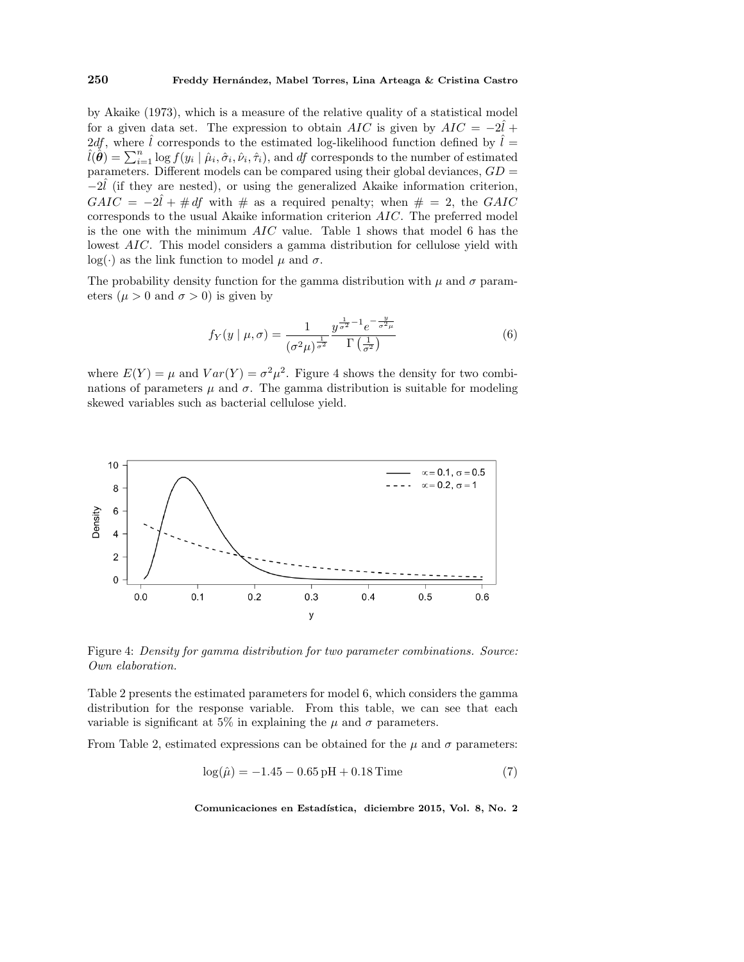#### 250 Freddy Hernández, Mabel Torres, Lina Arteaga & Cristina Castro

by Akaike (1973), which is a measure of the relative quality of a statistical model for a given data set. The expression to obtain  $AIC$  is given by  $AIC = -2\hat{l} +$ 2df, where  $\hat{l}$  corresponds to the estimated log-likelihood function defined by  $\hat{l} =$  $\hat{l}(\hat{\theta}) = \sum_{i=1}^{n} \log f(y_i | \hat{\mu}_i, \hat{\sigma}_i, \hat{\nu}_i, \hat{\tau}_i)$ , and df corresponds to the number of estimated parameters. Different models can be compared using their global deviances,  $GD =$  $-2\hat{l}$  (if they are nested), or using the generalized Akaike information criterion,  $G AIC = -2\hat{l} + # df$  with # as a required penalty; when # = 2, the GAIC corresponds to the usual Akaike information criterion AIC. The preferred model is the one with the minimum  $AIC$  value. Table 1 shows that model 6 has the lowest *AIC*. This model considers a gamma distribution for cellulose yield with log(·) as the link function to model  $\mu$  and  $\sigma$ .

The probability density function for the gamma distribution with  $\mu$  and  $\sigma$  parameters ( $\mu > 0$  and  $\sigma > 0$ ) is given by

$$
f_Y(y \mid \mu, \sigma) = \frac{1}{(\sigma^2 \mu)^{\frac{1}{\sigma^2}}} \frac{y^{\frac{1}{\sigma^2} - 1} e^{-\frac{y}{\sigma^2 \mu}}}{\Gamma(\frac{1}{\sigma^2})}
$$
(6)

where  $E(Y) = \mu$  and  $Var(Y) = \sigma^2 \mu^2$ . Figure 4 shows the density for two combinations of parameters  $\mu$  and  $\sigma$ . The gamma distribution is suitable for modeling skewed variables such as bacterial cellulose yield.



Figure 4: Density for gamma distribution for two parameter combinations. Source: Own elaboration.

Table 2 presents the estimated parameters for model 6, which considers the gamma distribution for the response variable. From this table, we can see that each variable is significant at 5% in explaining the  $\mu$  and  $\sigma$  parameters.

From Table 2, estimated expressions can be obtained for the  $\mu$  and  $\sigma$  parameters:

$$
\log(\hat{\mu}) = -1.45 - 0.65 \,\text{pH} + 0.18 \,\text{Time} \tag{7}
$$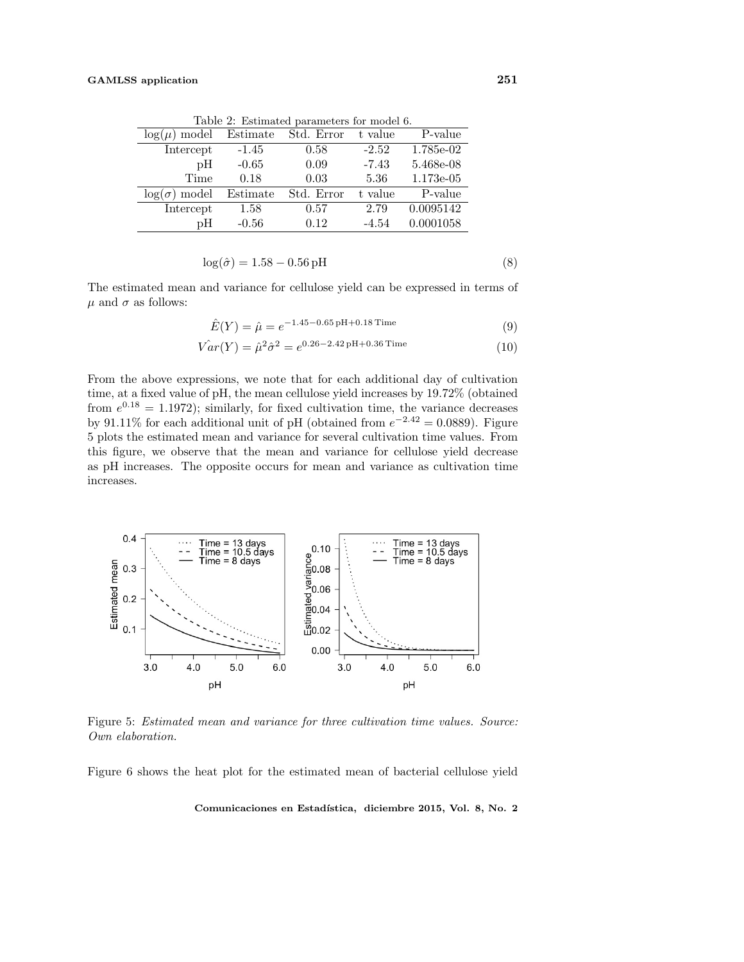Table 2: Estimated parameters for model 6.

| $log(\mu)$ model        | Estimate | Std. Error | t value | P-value     |
|-------------------------|----------|------------|---------|-------------|
| Intercept               | $-1.45$  | 0.58       | $-2.52$ | 1.785e-02   |
| рH                      | $-0.65$  | 0.09       | $-7.43$ | 5.468e-08   |
| Time                    | 0.18     | 0.03       | 5.36    | $1.173e-05$ |
| model<br>$\log(\sigma)$ | Estimate | Std. Error | t value | P-value     |
| Intercept               | 1.58     | 0.57       | 2.79    | 0.0095142   |
| рH                      | $-0.56$  | 0.12       | $-4.54$ | 0.0001058   |

$$
\log(\hat{\sigma}) = 1.58 - 0.56 \,\text{pH} \tag{8}
$$

The estimated mean and variance for cellulose yield can be expressed in terms of  $\mu$  and  $\sigma$  as follows:

$$
\hat{E}(Y) = \hat{\mu} = e^{-1.45 - 0.65 \,\mathrm{pH} + 0.18 \,\mathrm{Time}} \tag{9}
$$

$$
\hat{Var}(Y) = \hat{\mu}^2 \hat{\sigma}^2 = e^{0.26 - 2.42 \,\mathrm{pH} + 0.36 \,\mathrm{Time}} \tag{10}
$$

From the above expressions, we note that for each additional day of cultivation time, at a fixed value of pH, the mean cellulose yield increases by 19.72% (obtained from  $e^{0.18} = 1.1972$ ; similarly, for fixed cultivation time, the variance decreases by 91.11% for each additional unit of pH (obtained from  $e^{-2.42} = 0.0889$ ). Figure 5 plots the estimated mean and variance for several cultivation time values. From this figure, we observe that the mean and variance for cellulose yield decrease as pH increases. The opposite occurs for mean and variance as cultivation time increases.



Figure 5: Estimated mean and variance for three cultivation time values. Source: Own elaboration.

Figure 6 shows the heat plot for the estimated mean of bacterial cellulose yield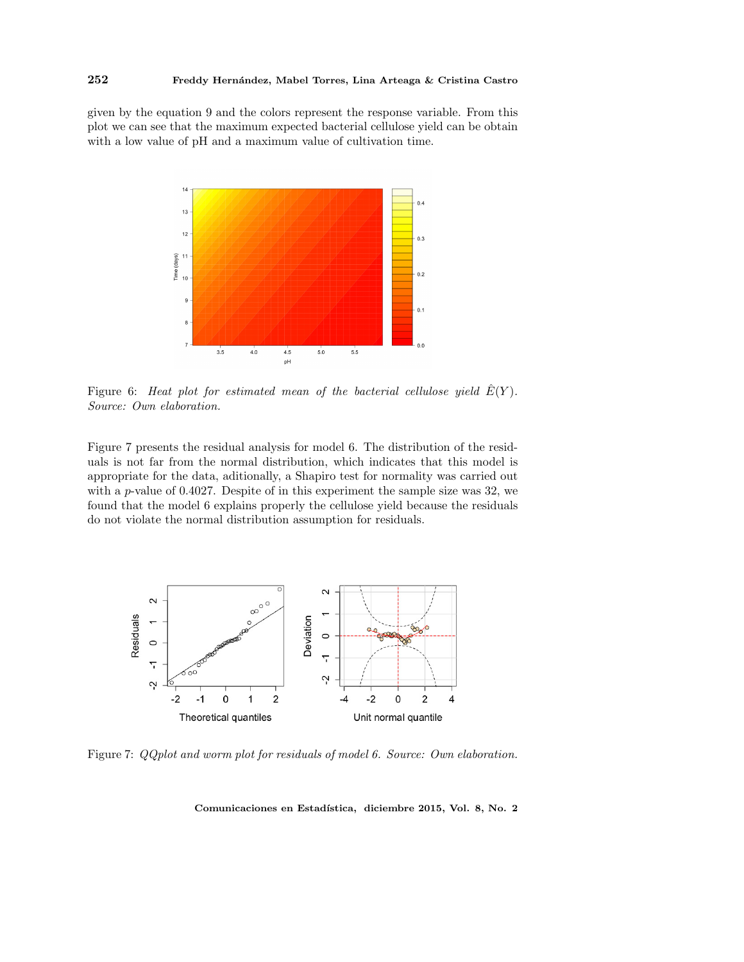given by the equation 9 and the colors represent the response variable. From this plot we can see that the maximum expected bacterial cellulose yield can be obtain with a low value of pH and a maximum value of cultivation time.



Figure 6: Heat plot for estimated mean of the bacterial cellulose yield  $E(Y)$ . Source: Own elaboration.

Figure 7 presents the residual analysis for model 6. The distribution of the residuals is not far from the normal distribution, which indicates that this model is appropriate for the data, aditionally, a Shapiro test for normality was carried out with a  $p$ -value of 0.4027. Despite of in this experiment the sample size was 32, we found that the model 6 explains properly the cellulose yield because the residuals do not violate the normal distribution assumption for residuals.



Figure 7:  $QQplot$  and worm plot for residuals of model 6. Source: Own elaboration.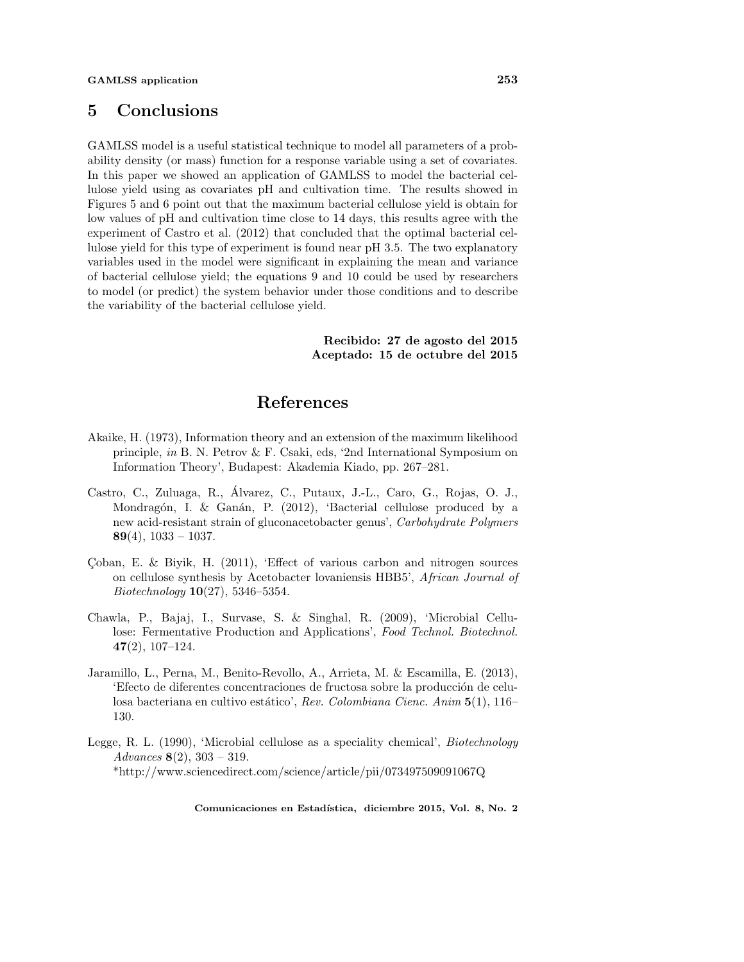### 5 Conclusions

GAMLSS model is a useful statistical technique to model all parameters of a probability density (or mass) function for a response variable using a set of covariates. In this paper we showed an application of GAMLSS to model the bacterial cellulose yield using as covariates pH and cultivation time. The results showed in Figures 5 and 6 point out that the maximum bacterial cellulose yield is obtain for low values of pH and cultivation time close to 14 days, this results agree with the experiment of Castro et al. (2012) that concluded that the optimal bacterial cellulose yield for this type of experiment is found near pH 3.5. The two explanatory variables used in the model were significant in explaining the mean and variance of bacterial cellulose yield; the equations 9 and 10 could be used by researchers to model (or predict) the system behavior under those conditions and to describe the variability of the bacterial cellulose yield.

> Recibido: 27 de agosto del 2015 Aceptado: 15 de octubre del 2015

## References

- Akaike, H. (1973), Information theory and an extension of the maximum likelihood principle, in B. N. Petrov & F. Csaki, eds, '2nd International Symposium on Information Theory', Budapest: Akademia Kiado, pp. 267–281.
- Castro, C., Zuluaga, R., Alvarez, C., Putaux, J.-L., Caro, G., Rojas, O. J., ´ Mondragón, I. & Ganán, P. (2012), 'Bacterial cellulose produced by a new acid-resistant strain of gluconacetobacter genus', Carbohydrate Polymers 89(4),  $1033 - 1037$ .
- Coban, E. & Biyik, H.  $(2011)$ , 'Effect of various carbon and nitrogen sources on cellulose synthesis by Acetobacter lovaniensis HBB5', African Journal of  $Biotechnology \, 10(27), \, 5346-5354.$
- Chawla, P., Bajaj, I., Survase, S. & Singhal, R. (2009), 'Microbial Cellulose: Fermentative Production and Applications', Food Technol. Biotechnol. 47(2), 107–124.
- Jaramillo, L., Perna, M., Benito-Revollo, A., Arrieta, M. & Escamilla, E. (2013), 'Efecto de diferentes concentraciones de fructosa sobre la producción de celulosa bacteriana en cultivo estático', Rev. Colombiana Cienc. Anim 5(1), 116– 130.
- Legge, R. L. (1990), 'Microbial cellulose as a speciality chemical', Biotechnology Advances  $8(2)$ ,  $303 - 319$ . \*http://www.sciencedirect.com/science/article/pii/073497509091067Q